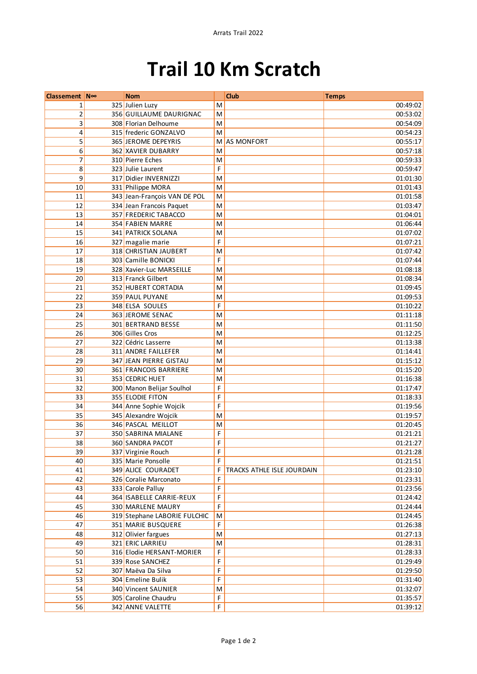## **Trail 10 Km Scratch**

| Classement N∞   | <b>Nom</b>                   |                                                                                       | Club                       | <b>Temps</b> |
|-----------------|------------------------------|---------------------------------------------------------------------------------------|----------------------------|--------------|
| 1               | 325 Julien Luzy              | M                                                                                     |                            | 00:49:02     |
| $\overline{2}$  | 356 GUILLAUME DAURIGNAC      | M                                                                                     |                            | 00:53:02     |
| 3               | 308 Florian Delhoume         | M                                                                                     |                            | 00:54:09     |
| 4               | 315 frederic GONZALVO        | M                                                                                     |                            | 00:54:23     |
| 5               | 365 JEROME DEPEYRIS          | M                                                                                     | <b>AS MONFORT</b>          | 00:55:17     |
| 6               | 362 XAVIER DUBARRY           | M                                                                                     |                            | 00:57:18     |
| 7               | 310 Pierre Eches             | M                                                                                     |                            | 00:59:33     |
| 8               | 323 Julie Laurent            | F                                                                                     |                            | 00:59:47     |
| 9               | 317 Didier INVERNIZZI        | M                                                                                     |                            | 01:01:30     |
| 10              | 331 Philippe MORA            | $\mathsf{M}% _{T}=\mathsf{M}_{T}\!\left( a,b\right) ,\ \mathsf{M}_{T}=\mathsf{M}_{T}$ |                            | 01:01:43     |
| 11              | 343 Jean-François VAN DE POL | M                                                                                     |                            | 01:01:58     |
| $\overline{12}$ | 334 Jean Francois Paquet     | M                                                                                     |                            | 01:03:47     |
| 13              | 357 FREDERIC TABACCO         | M                                                                                     |                            | 01:04:01     |
| 14              | 354 FABIEN MARRE             | M                                                                                     |                            | 01:06:44     |
| 15              | 341 PATRICK SOLANA           | M                                                                                     |                            | 01:07:02     |
| 16              | 327 magalie marie            | F                                                                                     |                            | 01:07:21     |
| 17              | 318 CHRISTIAN JAUBERT        | M                                                                                     |                            | 01:07:42     |
| 18              | 303 Camille BONICKI          | F                                                                                     |                            | 01:07:44     |
| 19              | 328 Xavier-Luc MARSEILLE     | M                                                                                     |                            | 01:08:18     |
| 20              | 313 Franck Gilbert           | M                                                                                     |                            | 01:08:34     |
| 21              | 352 HUBERT CORTADIA          | M                                                                                     |                            | 01:09:45     |
| $\overline{22}$ | 359 PAUL PUYANE              | M                                                                                     |                            | 01:09:53     |
| 23              | 348 ELSA SOULES              | F                                                                                     |                            | 01:10:22     |
| 24              | 363 JEROME SENAC             | M                                                                                     |                            | 01:11:18     |
| 25              | 301 BERTRAND BESSE           | M                                                                                     |                            | 01:11:50     |
| 26              | 306 Gilles Cros              | M                                                                                     |                            | 01:12:25     |
| $\overline{27}$ | 322 Cédric Lasserre          | M                                                                                     |                            | 01:13:38     |
| 28              | 311 ANDRE FAILLEFER          | M                                                                                     |                            | 01:14:41     |
| 29              | 347 JEAN PIERRE GISTAU       | M                                                                                     |                            | 01:15:12     |
| 30              | 361 FRANCOIS BARRIERE        | M                                                                                     |                            | 01:15:20     |
| 31              | 353 CEDRIC HUET              | M                                                                                     |                            | 01:16:38     |
| 32              | 300 Manon Belijar Soulhol    | F                                                                                     |                            | 01:17:47     |
| 33              | 355 ELODIE FITON             | F                                                                                     |                            | 01:18:33     |
| 34              | 344 Anne Sophie Wojcik       | F                                                                                     |                            | 01:19:56     |
| 35              | 345 Alexandre Wojcik         | M                                                                                     |                            | 01:19:57     |
| 36              | 346 PASCAL MEILLOT           | M                                                                                     |                            | 01:20:45     |
| 37              | 350 SABRINA MIALANE          | F                                                                                     |                            | 01:21:21     |
| 38              | 360 SANDRA PACOT             | F                                                                                     |                            | 01:21:27     |
| 39              | 337 Virginie Rouch           | F                                                                                     |                            | 01:21:28     |
| 40              | 335 Marie Ponsolle           | F                                                                                     |                            | 01:21:51     |
| 41              | 349 ALICE COURADET           | F                                                                                     | TRACKS ATHLE ISLE JOURDAIN | 01:23:10     |
| 42              | 326 Coralie Marconato        | F                                                                                     |                            | 01:23:31     |
| 43              | 333 Carole Palluy            | F                                                                                     |                            | 01:23:56     |
| 44              | 364 ISABELLE CARRIE-REUX     | F                                                                                     |                            | 01:24:42     |
| 45              | 330 MARLENE MAURY            | F                                                                                     |                            | 01:24:44     |
| 46              | 319 Stephane LABORIE FULCHIC | M                                                                                     |                            | 01:24:45     |
| 47              | 351 MARIE BUSQUERE           | $\mathsf F$                                                                           |                            | 01:26:38     |
| 48              | 312 Olivier fargues          | M                                                                                     |                            | 01:27:13     |
| 49              | 321 ERIC LARRIEU             | M                                                                                     |                            | 01:28:31     |
| 50              | 316 Elodie HERSANT-MORIER    | F                                                                                     |                            | 01:28:33     |
| 51              | 339 Rose SANCHEZ             | F                                                                                     |                            | 01:29:49     |
| 52              | 307 Maëva Da Silva           | F                                                                                     |                            | 01:29:50     |
| 53              | 304 Emeline Bulik            | F                                                                                     |                            | 01:31:40     |
| 54              | 340 Vincent SAUNIER          | M                                                                                     |                            | 01:32:07     |
| 55              | 305 Caroline Chaudru         | F                                                                                     |                            | 01:35:57     |
| 56              | 342 ANNE VALETTE             | F                                                                                     |                            | 01:39:12     |